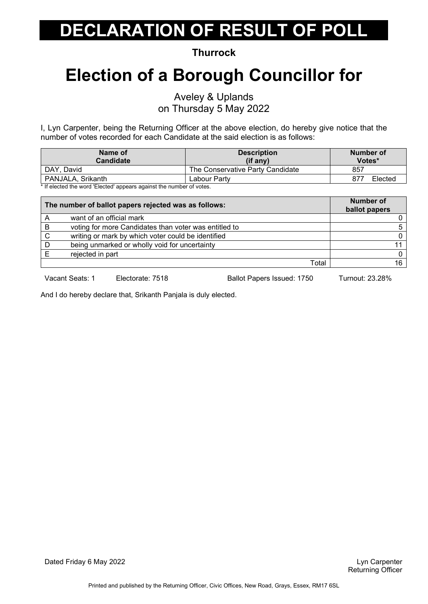**Thurrock**

# **Election of a Borough Councillor for**

Aveley & Uplands

on Thursday 5 May 2022

I, Lyn Carpenter, being the Returning Officer at the above election, do hereby give notice that the number of votes recorded for each Candidate at the said election is as follows:

| <b>Description</b><br>$(if$ any) | Number of<br>Votes*                                                                                                                                                                                                               |
|----------------------------------|-----------------------------------------------------------------------------------------------------------------------------------------------------------------------------------------------------------------------------------|
| The Conservative Party Candidate | 857                                                                                                                                                                                                                               |
| Labour Party                     | 877<br>Elected                                                                                                                                                                                                                    |
|                                  | $\frac{1}{2}$ . The contract of the contract of the contract of the contract of the contract of the contract of the contract of the contract of the contract of the contract of the contract of the contract of the contract of t |

\* If elected the word 'Elected' appears against the number of votes.

| The number of ballot papers rejected was as follows: |                                                       | <b>Number of</b><br>ballot papers |  |
|------------------------------------------------------|-------------------------------------------------------|-----------------------------------|--|
|                                                      | want of an official mark                              |                                   |  |
| B                                                    | voting for more Candidates than voter was entitled to |                                   |  |
| C                                                    | writing or mark by which voter could be identified    |                                   |  |
|                                                      | being unmarked or wholly void for uncertainty         |                                   |  |
|                                                      | rejected in part                                      |                                   |  |
|                                                      | Total                                                 | 16                                |  |

Vacant Seats: 1 Electorate: 7518 Ballot Papers Issued: 1750 Turnout: 23.28%

And I do hereby declare that, Srikanth Panjala is duly elected.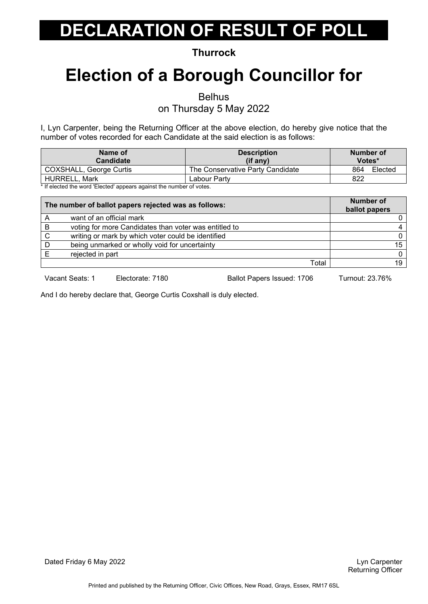**Thurrock**

### **Election of a Borough Councillor for**

Belhus

on Thursday 5 May 2022

I, Lyn Carpenter, being the Returning Officer at the above election, do hereby give notice that the number of votes recorded for each Candidate at the said election is as follows:

| <b>Description</b><br>(if any)   | Number of<br>Votes* |
|----------------------------------|---------------------|
| The Conservative Party Candidate | 864<br>Elected      |
| Labour Partv                     | 822                 |
|                                  |                     |

\* If elected the word 'Elected' appears against the number of votes.

|   | The number of ballot papers rejected was as follows:  | <b>Number of</b><br>ballot papers |
|---|-------------------------------------------------------|-----------------------------------|
|   | want of an official mark                              |                                   |
| B | voting for more Candidates than voter was entitled to |                                   |
| C | writing or mark by which voter could be identified    |                                   |
|   | being unmarked or wholly void for uncertainty         | 15                                |
|   | rejected in part                                      | <sup>0</sup>                      |
|   | Total                                                 | 19                                |

Vacant Seats: 1 Electorate: 7180 Ballot Papers Issued: 1706 Turnout: 23.76%

And I do hereby declare that, George Curtis Coxshall is duly elected.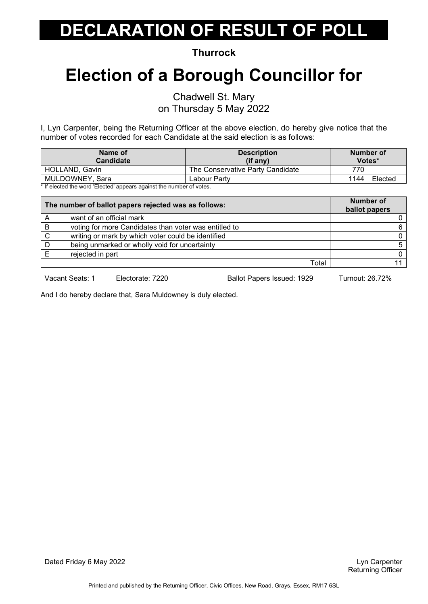**Thurrock**

### **Election of a Borough Councillor for**

Chadwell St. Mary on Thursday 5 May 2022

I, Lyn Carpenter, being the Returning Officer at the above election, do hereby give notice that the number of votes recorded for each Candidate at the said election is as follows:

| Votes*          |
|-----------------|
| 770             |
| 1144<br>Elected |
|                 |

If elected the word 'Elected' appears against the number of votes.

|   | The number of ballot papers rejected was as follows:  | <b>Number of</b><br>ballot papers |
|---|-------------------------------------------------------|-----------------------------------|
| A | want of an official mark                              |                                   |
| B | voting for more Candidates than voter was entitled to | 6                                 |
| C | writing or mark by which voter could be identified    |                                   |
|   | being unmarked or wholly void for uncertainty         | 5                                 |
|   | rejected in part                                      | <sup>0</sup>                      |
|   | Total                                                 |                                   |

Vacant Seats: 1 Electorate: 7220 Ballot Papers Issued: 1929 Turnout: 26.72%

And I do hereby declare that, Sara Muldowney is duly elected.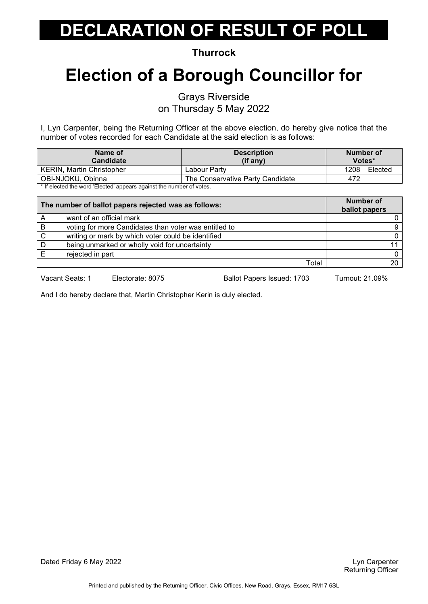**Thurrock**

# **Election of a Borough Councillor for**

Grays Riverside

on Thursday 5 May 2022

I, Lyn Carpenter, being the Returning Officer at the above election, do hereby give notice that the number of votes recorded for each Candidate at the said election is as follows:

| Name of<br>Candidate                                                                                                                                                                                                         | <b>Description</b><br>(if any)   | Number of<br>Votes* |
|------------------------------------------------------------------------------------------------------------------------------------------------------------------------------------------------------------------------------|----------------------------------|---------------------|
| <b>KERIN, Martin Christopher</b>                                                                                                                                                                                             | Labour Partv                     | 1208<br>Elected     |
| OBI-NJOKU, Obinna                                                                                                                                                                                                            | The Conservative Party Candidate | 472                 |
| . We find that the distribution of the line of the same complete state of the state of the state of the state of the state of the state of the state of the state of the state of the state of the state of the state of the |                                  |                     |

If elected the word 'Elected' appears against the number of votes.

| The number of ballot papers rejected was as follows: |                                                       | <b>Number of</b><br>ballot papers |
|------------------------------------------------------|-------------------------------------------------------|-----------------------------------|
| Α                                                    | want of an official mark                              |                                   |
| B                                                    | voting for more Candidates than voter was entitled to | g                                 |
| C                                                    | writing or mark by which voter could be identified    |                                   |
| D                                                    | being unmarked or wholly void for uncertainty         |                                   |
|                                                      | rejected in part                                      |                                   |
|                                                      | Total                                                 | 20                                |

Vacant Seats: 1 Electorate: 8075 Ballot Papers Issued: 1703 Turnout: 21.09%

And I do hereby declare that, Martin Christopher Kerin is duly elected.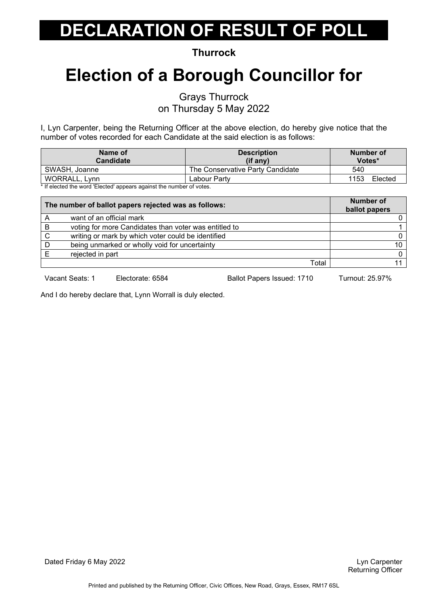**Thurrock**

# **Election of a Borough Councillor for**

Grays Thurrock

on Thursday 5 May 2022

I, Lyn Carpenter, being the Returning Officer at the above election, do hereby give notice that the number of votes recorded for each Candidate at the said election is as follows:

| Name of<br><b>Candidate</b>                                                                                   | <b>Description</b><br>$(if$ any) | Number of<br>Votes* |
|---------------------------------------------------------------------------------------------------------------|----------------------------------|---------------------|
| SWASH, Joanne                                                                                                 | The Conservative Party Candidate | 540                 |
| WORRALL, Lynn                                                                                                 | Labour Partv                     | 1153<br>Elected     |
| . ♦ 15 of the start also become a HTT books all representations and the compact the construction of the start |                                  |                     |

If elected the word 'Elected' appears against the number of votes.

|   | The number of ballot papers rejected was as follows:  | <b>Number of</b><br>ballot papers |
|---|-------------------------------------------------------|-----------------------------------|
|   | want of an official mark                              |                                   |
| B | voting for more Candidates than voter was entitled to |                                   |
| C | writing or mark by which voter could be identified    |                                   |
|   | being unmarked or wholly void for uncertainty         | 10                                |
|   | rejected in part                                      | <sup>n</sup>                      |
|   | Total                                                 |                                   |

Vacant Seats: 1 Electorate: 6584 Ballot Papers Issued: 1710 Turnout: 25.97%

And I do hereby declare that, Lynn Worrall is duly elected.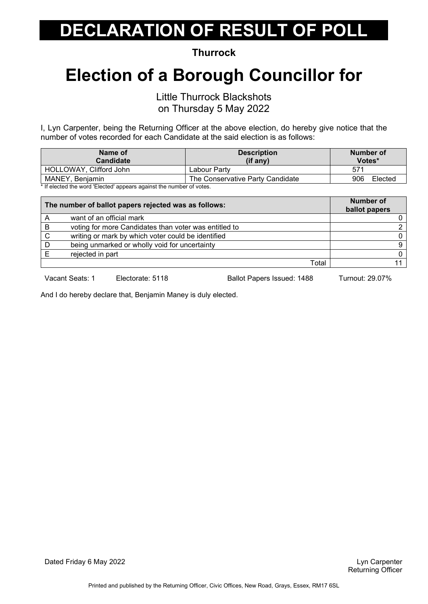**Thurrock**

### **Election of a Borough Councillor for**

Little Thurrock Blackshots on Thursday 5 May 2022

I, Lyn Carpenter, being the Returning Officer at the above election, do hereby give notice that the number of votes recorded for each Candidate at the said election is as follows:

| Name of<br><b>Candidate</b>                                                                       | <b>Description</b><br>(if any)   | Number of<br>Votes* |
|---------------------------------------------------------------------------------------------------|----------------------------------|---------------------|
| HOLLOWAY, Clifford John                                                                           | Labour Partv                     | 57 <sup>4</sup>     |
| MANEY, Benjamin                                                                                   | The Conservative Party Candidate | Elected<br>906      |
| المتفقين فمرسوط ومستمر وبطفاهم والمسترومين والمستحول المستحدا المستحدد والفرام والمفروط والمرافية |                                  |                     |

If elected the word 'Elected' appears against the number of votes.

|   | The number of ballot papers rejected was as follows:  | <b>Number of</b><br>ballot papers |
|---|-------------------------------------------------------|-----------------------------------|
|   | want of an official mark                              |                                   |
| в | voting for more Candidates than voter was entitled to |                                   |
| C | writing or mark by which voter could be identified    |                                   |
|   | being unmarked or wholly void for uncertainty         | 9                                 |
|   | rejected in part                                      |                                   |
|   | Total                                                 |                                   |

Vacant Seats: 1 Electorate: 5118 Ballot Papers Issued: 1488 Turnout: 29.07%

And I do hereby declare that, Benjamin Maney is duly elected.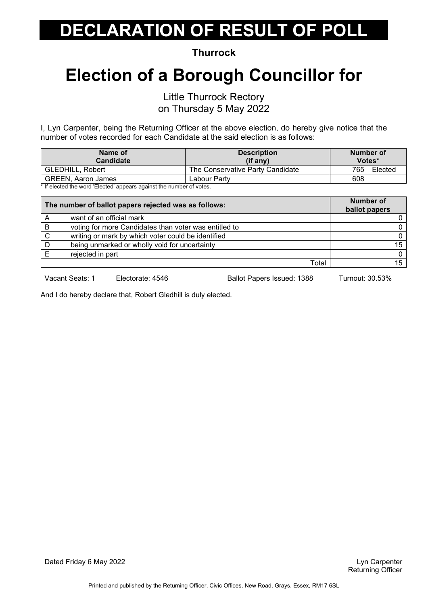**Thurrock**

# **Election of a Borough Councillor for**

Little Thurrock Rectory

on Thursday 5 May 2022

I, Lyn Carpenter, being the Returning Officer at the above election, do hereby give notice that the number of votes recorded for each Candidate at the said election is as follows:

| Name of                                                                                                       | <b>Description</b>               | Number of      |
|---------------------------------------------------------------------------------------------------------------|----------------------------------|----------------|
| Candidate                                                                                                     | $(i$ f anv $)$                   | Votes*         |
| <b>GLEDHILL, Robert</b>                                                                                       | The Conservative Party Candidate | 765<br>Elected |
| <b>GREEN, Aaron James</b>                                                                                     | Labour Partv                     | 608            |
| . ♦ 15 of the start also become a HTT books all representations and the compact the construction of the start |                                  |                |

If elected the word 'Elected' appears against the number of votes.

|   | The number of ballot papers rejected was as follows:  | <b>Number of</b><br>ballot papers |
|---|-------------------------------------------------------|-----------------------------------|
|   | want of an official mark                              |                                   |
| B | voting for more Candidates than voter was entitled to |                                   |
| C | writing or mark by which voter could be identified    |                                   |
|   | being unmarked or wholly void for uncertainty         | 15 <sub>1</sub>                   |
|   | rejected in part                                      | $\Omega$                          |
|   | Total                                                 | 15                                |

Vacant Seats: 1 Electorate: 4546 Ballot Papers Issued: 1388 Turnout: 30.53%

And I do hereby declare that, Robert Gledhill is duly elected.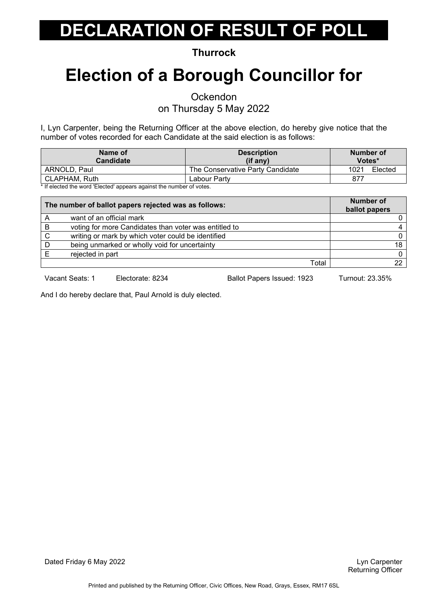**Thurrock**

# **Election of a Borough Councillor for**

**Ockendon** 

on Thursday 5 May 2022

I, Lyn Carpenter, being the Returning Officer at the above election, do hereby give notice that the number of votes recorded for each Candidate at the said election is as follows:

| Name of<br><b>Candidate</b>                                                                                   | <b>Description</b><br>$(if$ any) | Number of<br>Votes* |
|---------------------------------------------------------------------------------------------------------------|----------------------------------|---------------------|
| ARNOLD, Paul                                                                                                  | The Conservative Party Candidate | Elected<br>1021     |
| CLAPHAM, Ruth                                                                                                 | Labour Partv                     | 877                 |
| . ♦ 15 of the start also become a HTT books all representations and the compact the construction of the start |                                  |                     |

If elected the word 'Elected' appears against the number of votes.

| The number of ballot papers rejected was as follows: |                                                       | <b>Number of</b><br>ballot papers |
|------------------------------------------------------|-------------------------------------------------------|-----------------------------------|
| Α                                                    | want of an official mark                              |                                   |
| B                                                    | voting for more Candidates than voter was entitled to |                                   |
| C                                                    | writing or mark by which voter could be identified    |                                   |
|                                                      | being unmarked or wholly void for uncertainty         | 18                                |
|                                                      | rejected in part                                      | $\Omega$                          |
|                                                      | Total                                                 | 22.                               |

Vacant Seats: 1 Electorate: 8234 Ballot Papers Issued: 1923 Turnout: 23.35%

And I do hereby declare that, Paul Arnold is duly elected.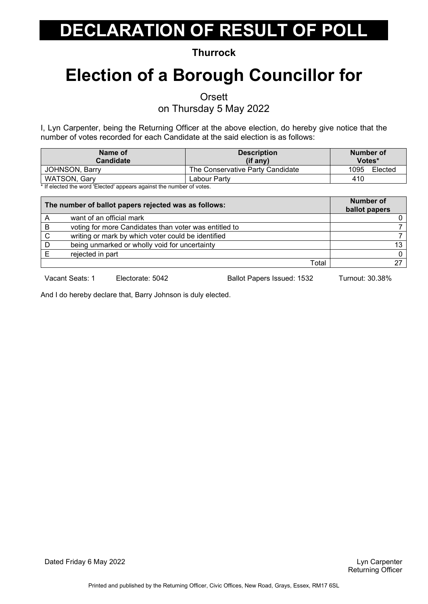**Thurrock**

### **Election of a Borough Councillor for**

**Orsett** 

on Thursday 5 May 2022

I, Lyn Carpenter, being the Returning Officer at the above election, do hereby give notice that the number of votes recorded for each Candidate at the said election is as follows:

| Name of<br><b>Candidate</b>                                                                                   | <b>Description</b><br>$(if$ any) | Number of<br>Votes* |
|---------------------------------------------------------------------------------------------------------------|----------------------------------|---------------------|
| <b>JOHNSON, Barry</b>                                                                                         | The Conservative Party Candidate | 1095<br>Elected     |
| <b>WATSON, Gary</b>                                                                                           | Labour Partv                     | 410                 |
| . ♦ 15 of the start also become a HTT books all representations and the compact the construction of the start |                                  |                     |

If elected the word 'Elected' appears against the number of votes.

|   | The number of ballot papers rejected was as follows:  | <b>Number of</b><br>ballot papers |
|---|-------------------------------------------------------|-----------------------------------|
|   | want of an official mark                              |                                   |
| B | voting for more Candidates than voter was entitled to |                                   |
| C | writing or mark by which voter could be identified    |                                   |
|   | being unmarked or wholly void for uncertainty         | 13                                |
|   | rejected in part                                      | <sup>0</sup>                      |
|   | Total                                                 | 27                                |

Vacant Seats: 1 Electorate: 5042 Ballot Papers Issued: 1532 Turnout: 30.38%

And I do hereby declare that, Barry Johnson is duly elected.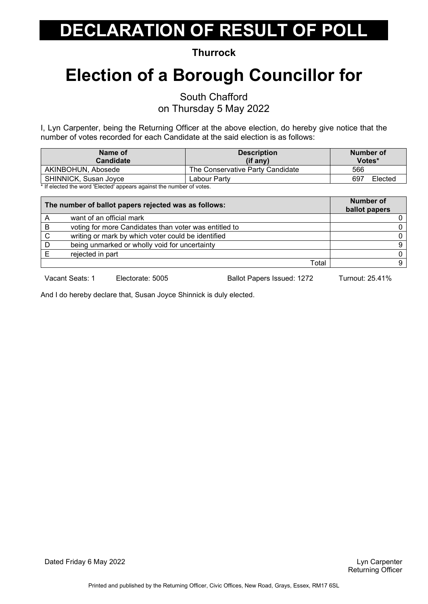**Thurrock**

# **Election of a Borough Councillor for**

South Chafford

on Thursday 5 May 2022

I, Lyn Carpenter, being the Returning Officer at the above election, do hereby give notice that the number of votes recorded for each Candidate at the said election is as follows:

| Name of<br>Candidate                                                                              | <b>Description</b><br>$(if$ any) | Number of<br>Votes* |
|---------------------------------------------------------------------------------------------------|----------------------------------|---------------------|
| AKINBOHUN, Abosede                                                                                | The Conservative Party Candidate | 566                 |
| SHINNICK, Susan Joyce                                                                             | Labour Partv                     | 697<br>Elected      |
| المتفقين فمرسوط ومستمر وبطفاهم والمسترومين والمستحول المستحدا المستحدد والفرام والمفروط والمرافية |                                  |                     |

If elected the word 'Elected' appears against the number of votes.

| The number of ballot papers rejected was as follows: |                                                       | <b>Number of</b><br>ballot papers |
|------------------------------------------------------|-------------------------------------------------------|-----------------------------------|
| A                                                    | want of an official mark                              |                                   |
| B                                                    | voting for more Candidates than voter was entitled to |                                   |
| C                                                    | writing or mark by which voter could be identified    |                                   |
|                                                      | being unmarked or wholly void for uncertainty         | 9                                 |
|                                                      | rejected in part                                      |                                   |
|                                                      | Total                                                 | a                                 |

Vacant Seats: 1 Electorate: 5005 Ballot Papers Issued: 1272 Turnout: 25.41%

And I do hereby declare that, Susan Joyce Shinnick is duly elected.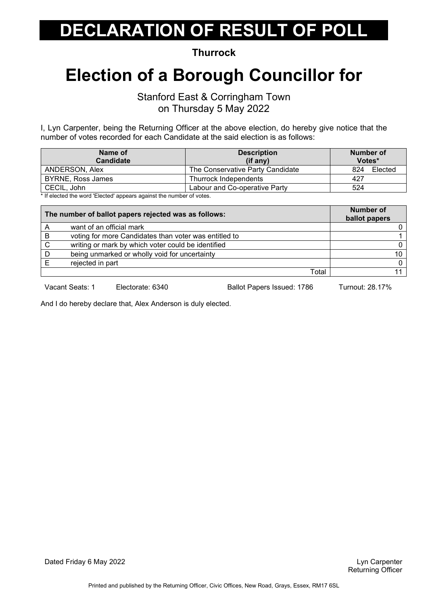**Thurrock**

#### **Election of a Borough Councillor for**

Stanford East & Corringham Town on Thursday 5 May 2022

I, Lyn Carpenter, being the Returning Officer at the above election, do hereby give notice that the number of votes recorded for each Candidate at the said election is as follows:

| Name of<br><b>Candidate</b>                                                                                    | <b>Description</b><br>(if any)   | Number of<br>Votes* |
|----------------------------------------------------------------------------------------------------------------|----------------------------------|---------------------|
|                                                                                                                |                                  |                     |
| ANDERSON, Alex                                                                                                 | The Conservative Party Candidate | 824<br>Elected      |
| BYRNE, Ross James                                                                                              | Thurrock Independents            | 427                 |
| CECIL, John                                                                                                    | Labour and Co-operative Party    | 524                 |
| . ♦ 10 coloration also concerned the location of comparison of modernia also compared to a cultural coloration |                                  |                     |

\* If elected the word 'Elected' appears against the number of votes.

| The number of ballot papers rejected was as follows: |                                                       | <b>Number of</b><br>ballot papers |
|------------------------------------------------------|-------------------------------------------------------|-----------------------------------|
|                                                      | want of an official mark                              |                                   |
| B                                                    | voting for more Candidates than voter was entitled to |                                   |
| C                                                    | writing or mark by which voter could be identified    |                                   |
| D                                                    | being unmarked or wholly void for uncertainty         | 10.                               |
|                                                      | rejected in part                                      |                                   |
|                                                      | Total                                                 |                                   |

Vacant Seats: 1 Electorate: 6340 Ballot Papers Issued: 1786 Turnout: 28.17%

And I do hereby declare that, Alex Anderson is duly elected.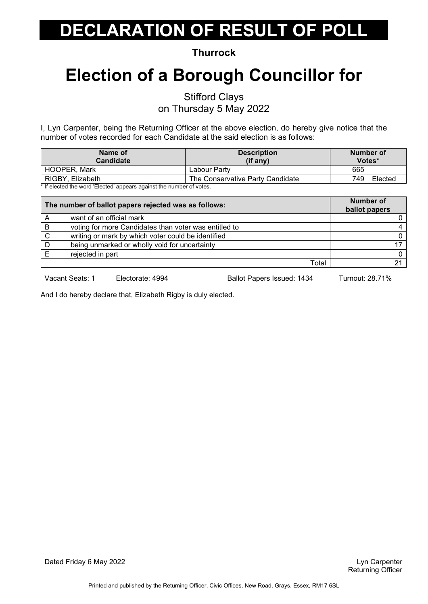**Thurrock**

# **Election of a Borough Councillor for**

Stifford Clays

on Thursday 5 May 2022

I, Lyn Carpenter, being the Returning Officer at the above election, do hereby give notice that the number of votes recorded for each Candidate at the said election is as follows:

| Name of                                                             | <b>Description</b>               | Number of      |
|---------------------------------------------------------------------|----------------------------------|----------------|
| Candidate                                                           | $(if$ any)                       | Votes*         |
| <b>HOOPER, Mark</b>                                                 | Labour Partv                     | 665            |
| RIGBY, Elizabeth                                                    | The Conservative Party Candidate | Elected<br>749 |
| * If alaatad the ward 'Elected' oppears against the pumber of vates |                                  |                |

If elected the word 'Elected' appears against the number of votes.

| The number of ballot papers rejected was as follows: |                                                       | <b>Number of</b><br>ballot papers |
|------------------------------------------------------|-------------------------------------------------------|-----------------------------------|
| A                                                    | want of an official mark                              |                                   |
| B                                                    | voting for more Candidates than voter was entitled to |                                   |
| C                                                    | writing or mark by which voter could be identified    |                                   |
|                                                      | being unmarked or wholly void for uncertainty         |                                   |
|                                                      | rejected in part                                      | $\Omega$                          |
|                                                      | Total                                                 |                                   |

Vacant Seats: 1 Electorate: 4994 Ballot Papers Issued: 1434 Turnout: 28.71%

And I do hereby declare that, Elizabeth Rigby is duly elected.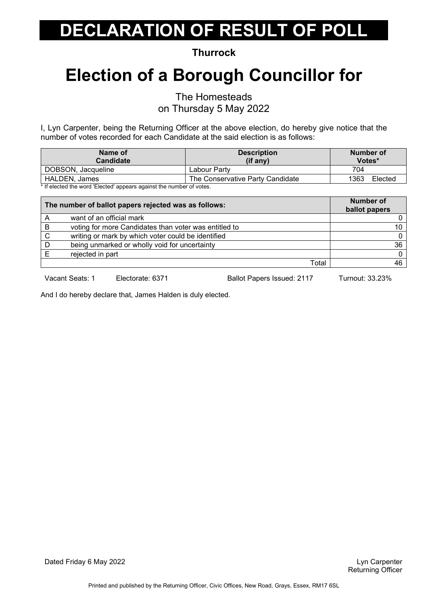**Thurrock**

### **Election of a Borough Councillor for**

The Homesteads

on Thursday 5 May 2022

I, Lyn Carpenter, being the Returning Officer at the above election, do hereby give notice that the number of votes recorded for each Candidate at the said election is as follows:

| Name of<br><b>Candidate</b>                                                                       | <b>Description</b><br>(if any)   | Number of<br>Votes* |
|---------------------------------------------------------------------------------------------------|----------------------------------|---------------------|
| DOBSON, Jacqueline                                                                                | Labour Partv                     | 704                 |
| HALDEN, James                                                                                     | The Conservative Party Candidate | 1363<br>Elected     |
| المتفقين فمرسوط ومستمر وبطفاهم والمسترومين والمستحول المستحدا المستحدد والفرام والمفروط والمرافية |                                  |                     |

If elected the word 'Elected' appears against the number of votes.

| The number of ballot papers rejected was as follows: |                                                       | <b>Number of</b><br>ballot papers |
|------------------------------------------------------|-------------------------------------------------------|-----------------------------------|
|                                                      | want of an official mark                              |                                   |
| в                                                    | voting for more Candidates than voter was entitled to | 10                                |
| C                                                    | writing or mark by which voter could be identified    | $\Omega$                          |
|                                                      | being unmarked or wholly void for uncertainty         | 36                                |
|                                                      | rejected in part                                      | $\Omega$                          |
|                                                      | Total                                                 | 46                                |

Vacant Seats: 1 Electorate: 6371 Ballot Papers Issued: 2117 Turnout: 33.23%

And I do hereby declare that, James Halden is duly elected.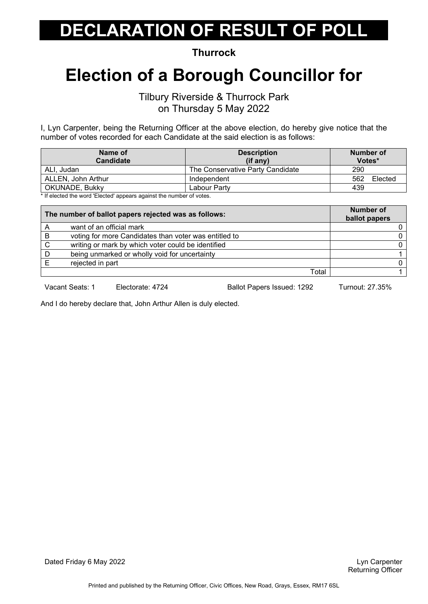**Thurrock**

#### **Election of a Borough Councillor for**

Tilbury Riverside & Thurrock Park on Thursday 5 May 2022

I, Lyn Carpenter, being the Returning Officer at the above election, do hereby give notice that the number of votes recorded for each Candidate at the said election is as follows:

| Name of                                                             | <b>Description</b>               | Number of      |
|---------------------------------------------------------------------|----------------------------------|----------------|
| <b>Candidate</b>                                                    | $(if$ any)                       | Votes*         |
| ALI. Judan                                                          | The Conservative Party Candidate | 290            |
| ALLEN, John Arthur                                                  | Independent                      | 562<br>Elected |
| OKUNADE, Bukky                                                      | Labour Partv                     | 439            |
| * If algoted the word 'Elected' enneare equipot the number of vetop |                                  |                |

If elected the word 'Elected' appears against the number of votes.

| The number of ballot papers rejected was as follows: |                                                       | Number of<br>ballot papers |
|------------------------------------------------------|-------------------------------------------------------|----------------------------|
|                                                      | want of an official mark                              |                            |
| B                                                    | voting for more Candidates than voter was entitled to |                            |
| C                                                    | writing or mark by which voter could be identified    |                            |
|                                                      | being unmarked or wholly void for uncertainty         |                            |
|                                                      | rejected in part                                      |                            |
|                                                      | Total                                                 |                            |

Vacant Seats: 1 Electorate: 4724 Ballot Papers Issued: 1292 Turnout: 27.35%

And I do hereby declare that, John Arthur Allen is duly elected.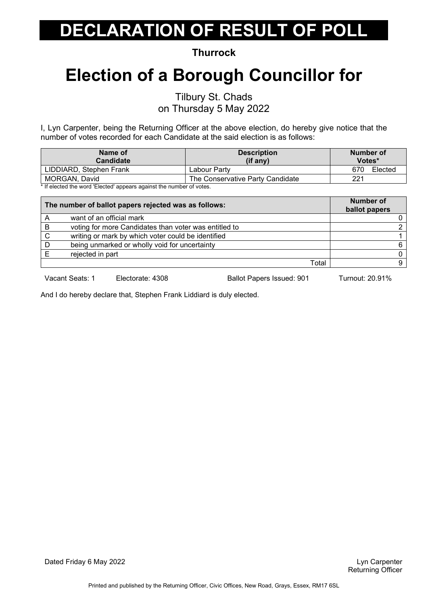**Thurrock**

# **Election of a Borough Councillor for**

Tilbury St. Chads

on Thursday 5 May 2022

I, Lyn Carpenter, being the Returning Officer at the above election, do hereby give notice that the number of votes recorded for each Candidate at the said election is as follows:

| Name of<br><b>Candidate</b> | <b>Description</b><br>(if any)   | Number of<br>Votes* |
|-----------------------------|----------------------------------|---------------------|
| LIDDIARD, Stephen Frank     | Labour Partv                     | 670<br>Elected      |
| MORGAN, David               | The Conservative Party Candidate | 221                 |
|                             |                                  |                     |

\* If elected the word 'Elected' appears against the number of votes.

| The number of ballot papers rejected was as follows: |                                                       | <b>Number of</b><br>ballot papers |
|------------------------------------------------------|-------------------------------------------------------|-----------------------------------|
| A                                                    | want of an official mark                              |                                   |
| B                                                    | voting for more Candidates than voter was entitled to |                                   |
| C                                                    | writing or mark by which voter could be identified    |                                   |
|                                                      | being unmarked or wholly void for uncertainty         | 6                                 |
|                                                      | rejected in part                                      |                                   |
|                                                      | Total                                                 | a                                 |

Vacant Seats: 1 Electorate: 4308 Ballot Papers Issued: 901 Turnout: 20.91%

And I do hereby declare that, Stephen Frank Liddiard is duly elected.